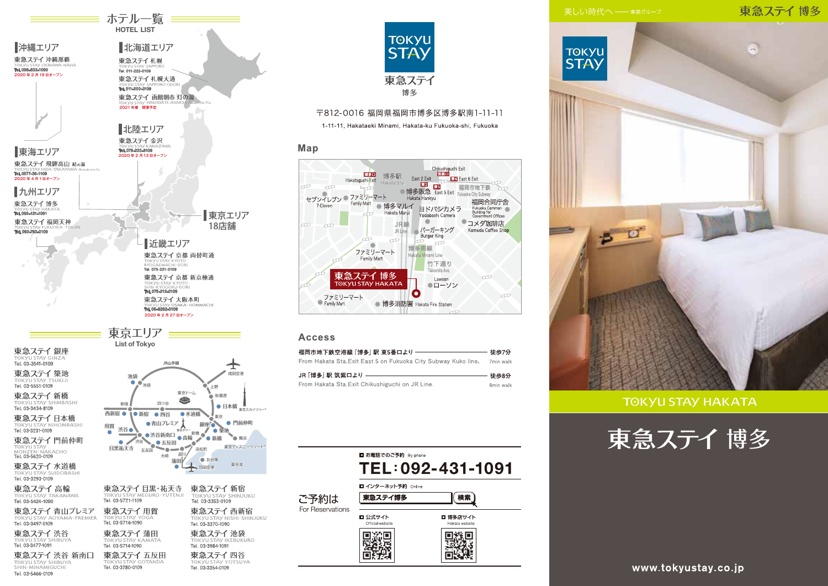## 東急ステイ博多



**TOKYU STAY HAKATA** 





東急ステイ五反田

Tel. 03-3354-0109

Tel. 03-3280-0109

≡ ホテル一覧 <del>≡≡</del> **HOTEL LIST** 

北海道エリア

■沖縄エリア

東急ステイ 渋谷 新南口

TOKYU STAY SHIBUYA

Tel. 03-5466-0109

ご予約は For Reservations 東急ステイ四谷

Map

ಹಾ

600

 $\sigma$ 

co.

7-Eleven

□ お電話でのご予約 By phone TEL: 092-431-1091 ■ インターネット予約 Online 東急ステイ博多 検索 ■ 公式サイト ■博多店サイト Official website Hakata website ▓ 回数回<br>深经。 盲题思

**TOKYU** 

**STAY** 

東急ステイ

博多

〒812-0016 福岡県福岡市博多区博多駅南1-11-11 1-11-11, Hakataeki Minami, Hakata-ku Fukuoka-shi, Fukuoka

博多口

 $\sqrt{2}$ 

Family Mart

東急ステイ 博多

**TOKYU STAY HAKATA** 

福岡市地下鉄空港線 「博多| 駅 東5番ロより–

From Hakata Sta.Exit Chikushiguchi on JR Line.

ファミリーマート

Hakataguchi Exit

Family Mart

セブンイレブン ● ファミリーマート

ファミリーマート

Family Mart

JR 「博多| 駅 筑紫口より –

**Access** 

博多駅

● 博多マルイ

m

From Hakata Sta.Exit East 5 on Fukuoka City Subway Kuko line.

Hakata Marui

JR 線

IR I ing

**Example Construction**<br>
East 2 Exit<br>
Example 2 **Example 2 Example 2 Example 2 Example 2 Example 2 Example 2 Example 2 Example 2 Example 2 Example 2 Example 2 Example 2 Example 2 Example 2 Example 2 Example 2 Example 2 Exam** 

●博多阪急 East 5 Exit Fukuoka City Subway

福岡市地下鉄 200

●コメダ珈琲店

福岡合同庁舎

Fukuoka Common<br>Building for<br>Government Offices

Komeda Coffee Shop

cool

 $CD$ 

徒歩7分

7min walk

徒歩8分

8min walk

25

ヨドバシカメラ

竹下通り

Takeshita Ave

Lawson

●ローソン

Yodobashi Camera

 $\bullet$ 

■ バーガーキング

Burger King

Hakata Hankvu

 $\infty$  $\sqrt{1}$ 

Hakata Minami Line

捕冬击绝

 $\bullet$ 

● 博多消防署 Hakata Fire Station

www.tokyustay.co.jp